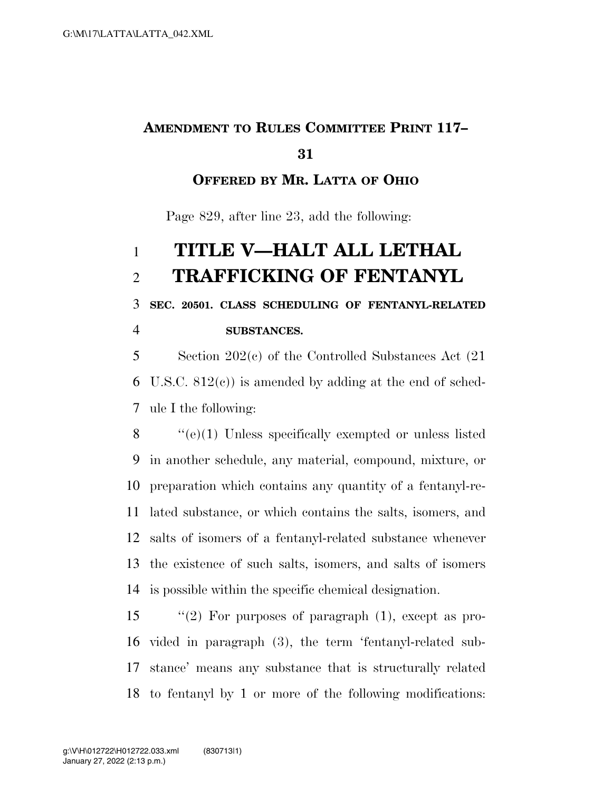### **AMENDMENT TO RULES COMMITTEE PRINT 117–**

### **OFFERED BY MR. LATTA OF OHIO**

Page 829, after line 23, add the following:

# **TITLE V—HALT ALL LETHAL TRAFFICKING OF FENTANYL**

**SEC. 20501. CLASS SCHEDULING OF FENTANYL-RELATED** 

**SUBSTANCES.** 

 Section 202(c) of the Controlled Substances Act (21 U.S.C. 812(c)) is amended by adding at the end of sched-ule I the following:

 ''(e)(1) Unless specifically exempted or unless listed in another schedule, any material, compound, mixture, or preparation which contains any quantity of a fentanyl-re- lated substance, or which contains the salts, isomers, and salts of isomers of a fentanyl-related substance whenever the existence of such salts, isomers, and salts of isomers is possible within the specific chemical designation.

 ''(2) For purposes of paragraph (1), except as pro- vided in paragraph (3), the term 'fentanyl-related sub- stance' means any substance that is structurally related to fentanyl by 1 or more of the following modifications: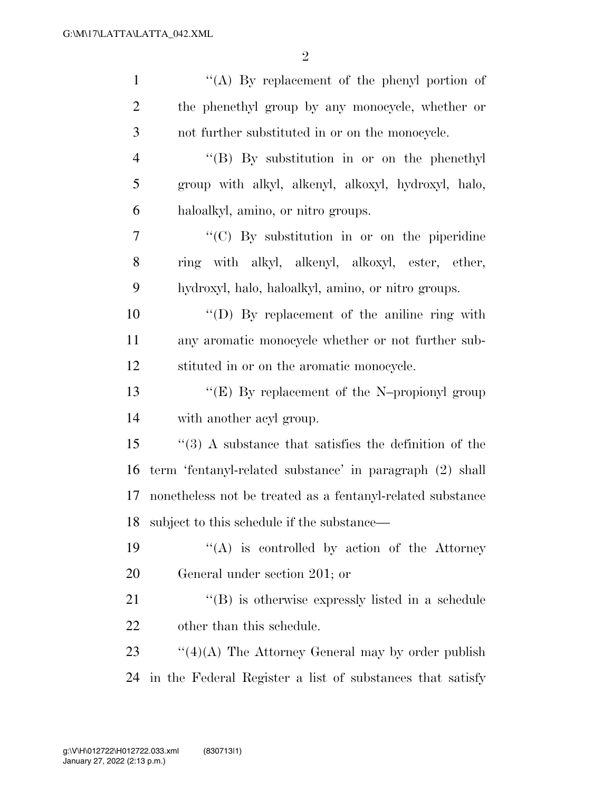| $\mathbf{1}$   | "(A) By replacement of the phenyl portion of                 |
|----------------|--------------------------------------------------------------|
| $\overline{2}$ | the phenethyl group by any monocycle, whether or             |
| 3              | not further substituted in or on the monocycle.              |
| $\overline{4}$ | " $(B)$ By substitution in or on the phenethyl"              |
| 5              | group with alkyl, alkenyl, alkoxyl, hydroxyl, halo,          |
| 6              | haloalkyl, amino, or nitro groups.                           |
| 7              | "(C) By substitution in or on the piperidine                 |
| 8              | ring with alkyl, alkenyl, alkoxyl, ester, ether,             |
| 9              | hydroxyl, halo, haloalkyl, amino, or nitro groups.           |
| 10             | "(D) By replacement of the aniline ring with                 |
| 11             | any aromatic monocycle whether or not further sub-           |
| 12             | stituted in or on the aromatic monocycle.                    |
| 13             | "(E) By replacement of the N-propionyl group                 |
| 14             | with another acyl group.                                     |
| 15             | $\cdot$ (3) A substance that satisfies the definition of the |
| 16             | term 'fentanyl-related substance' in paragraph (2) shall     |
| 17             | nonetheless not be treated as a fentanyl-related substance   |
|                | 18 subject to this schedule if the substance—                |
| 19             | "(A) is controlled by action of the Attorney                 |
| 20             | General under section 201; or                                |
| 21             | "(B) is otherwise expressly listed in a schedule             |
| 22             | other than this schedule.                                    |
| 23             | " $(4)(A)$ The Attorney General may by order publish         |
| 24             | in the Federal Register a list of substances that satisfy    |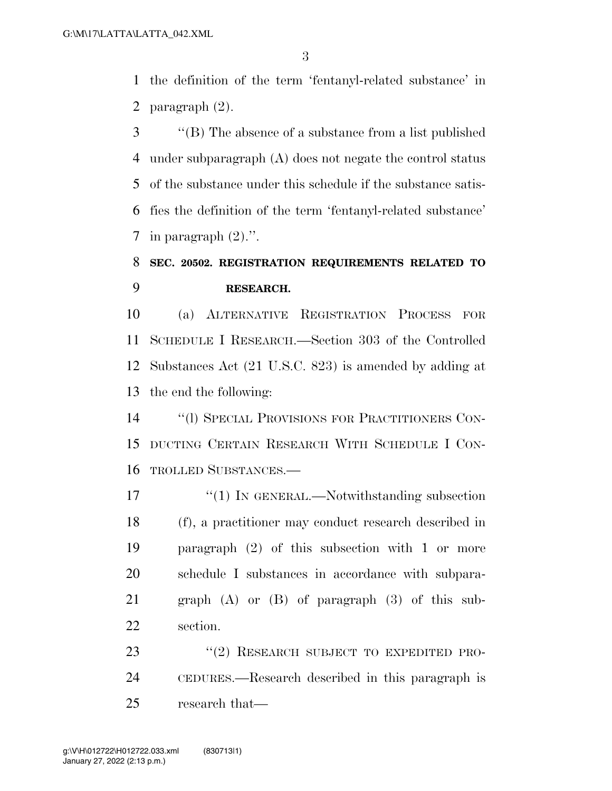the definition of the term 'fentanyl-related substance' in paragraph (2).

 ''(B) The absence of a substance from a list published under subparagraph (A) does not negate the control status of the substance under this schedule if the substance satis- fies the definition of the term 'fentanyl-related substance' 7 in paragraph  $(2)$ .".

### **SEC. 20502. REGISTRATION REQUIREMENTS RELATED TO RESEARCH.**

 (a) ALTERNATIVE REGISTRATION PROCESS FOR SCHEDULE I RESEARCH.—Section 303 of the Controlled Substances Act (21 U.S.C. 823) is amended by adding at the end the following:

 ''(l) SPECIAL PROVISIONS FOR PRACTITIONERS CON- DUCTING CERTAIN RESEARCH WITH SCHEDULE I CON-TROLLED SUBSTANCES.—

17 <sup>''</sup>(1) IN GENERAL.—Notwithstanding subsection (f), a practitioner may conduct research described in paragraph (2) of this subsection with 1 or more schedule I substances in accordance with subpara- graph (A) or (B) of paragraph (3) of this sub-section.

23 "(2) RESEARCH SUBJECT TO EXPEDITED PRO- CEDURES.—Research described in this paragraph is research that—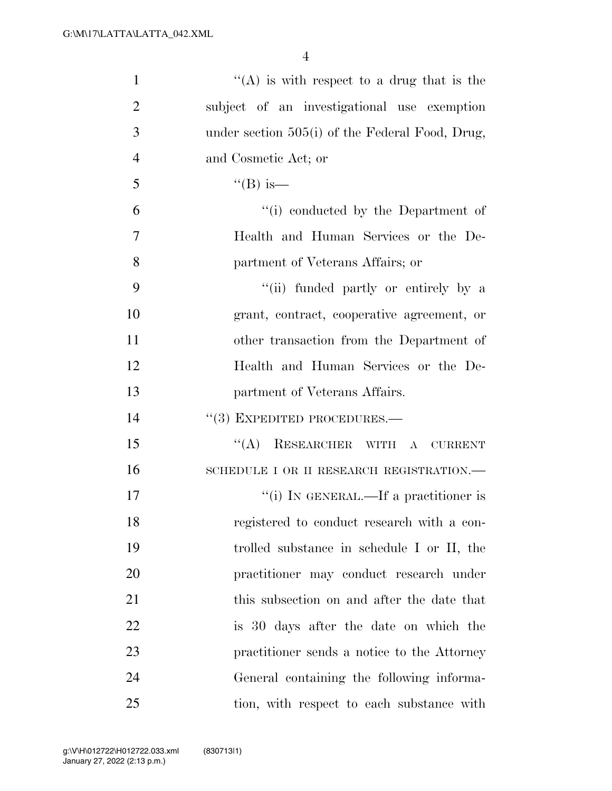| $\mathbf{1}$   | "(A) is with respect to a drug that is the        |
|----------------|---------------------------------------------------|
| $\overline{2}$ | subject of an investigational use exemption       |
| 3              | under section $505(i)$ of the Federal Food, Drug, |
| $\overline{4}$ | and Cosmetic Act; or                              |
| 5              | $\mathrm{``(B)}$ is—                              |
| 6              | "(i) conducted by the Department of               |
| 7              | Health and Human Services or the De-              |
| 8              | partment of Veterans Affairs; or                  |
| 9              | "(ii) funded partly or entirely by a              |
| 10             | grant, contract, cooperative agreement, or        |
| 11             | other transaction from the Department of          |
| 12             | Health and Human Services or the De-              |
| 13             | partment of Veterans Affairs.                     |
| 14             | $``(3)$ EXPEDITED PROCEDURES.—                    |
| 15             | RESEARCHER WITH<br>``(A)<br>A CURRENT             |
| 16             | SCHEDULE I OR II RESEARCH REGISTRATION.—          |
| 17             | "(i) IN GENERAL.—If a practitioner is             |
| 18             | registered to conduct research with a con-        |
| 19             | trolled substance in schedule I or II, the        |
| 20             | practitioner may conduct research under           |
| 21             | this subsection on and after the date that        |
| 22             | is 30 days after the date on which the            |
| 23             | practitioner sends a notice to the Attorney       |
| 24             | General containing the following informa-         |
| 25             | tion, with respect to each substance with         |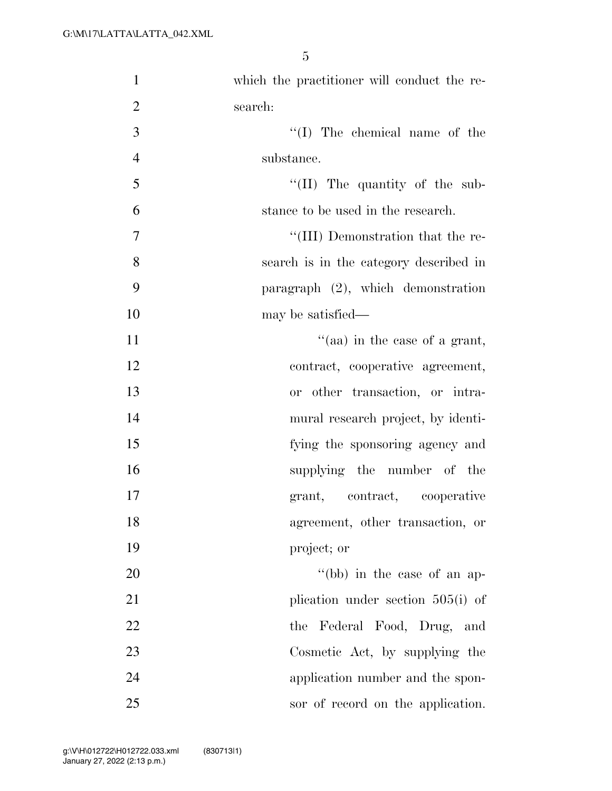| $\mathbf{1}$   | which the practitioner will conduct the re- |
|----------------|---------------------------------------------|
| $\overline{2}$ | search:                                     |
| 3              | $\lq\lq$ (I) The chemical name of the       |
| $\overline{4}$ | substance.                                  |
| 5              | "(II) The quantity of the sub-              |
| 6              | stance to be used in the research.          |
| $\overline{7}$ | "(III) Demonstration that the re-           |
| 8              | search is in the category described in      |
| 9              | paragraph (2), which demonstration          |
| 10             | may be satisfied—                           |
| 11             | "(aa) in the case of a grant,               |
| 12             | contract, cooperative agreement,            |
| 13             | or other transaction, or intra-             |
| 14             | mural research project, by identi-          |
| 15             | fying the sponsoring agency and             |
| 16             | supplying the number of the                 |
| 17             | grant, contract, cooperative                |
| 18             | agreement, other transaction, or            |
| 19             | project; or                                 |
| 20             | "(bb) in the case of an ap-                 |
| 21             | plication under section $505(i)$ of         |
| 22             | the Federal Food, Drug,<br>and              |
| 23             | Cosmetic Act, by supplying the              |
| 24             | application number and the spon-            |
| 25             | sor of record on the application.           |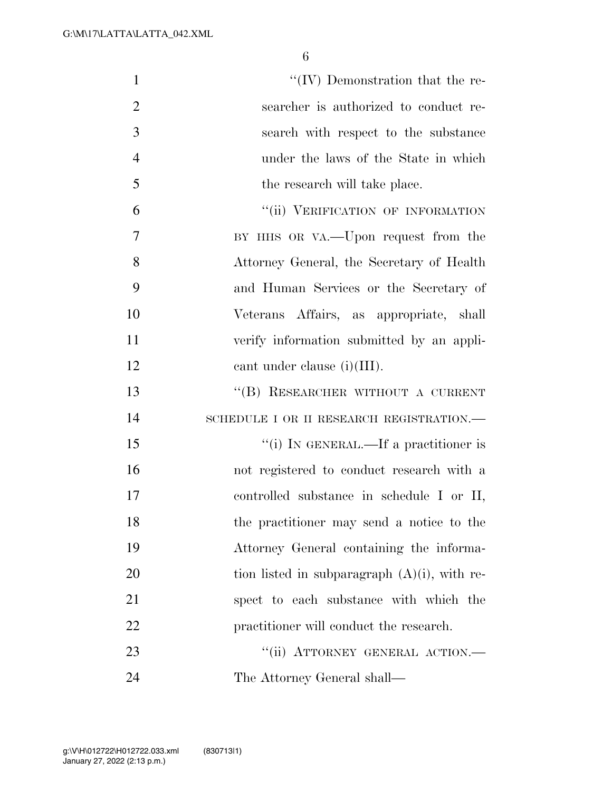| $\mathbf{1}$   | $\lq\lq$ (IV) Demonstration that the re-        |
|----------------|-------------------------------------------------|
| $\overline{2}$ | searcher is authorized to conduct re-           |
| 3              | search with respect to the substance            |
| $\overline{4}$ | under the laws of the State in which            |
| 5              | the research will take place.                   |
| 6              | "(ii) VERIFICATION OF INFORMATION               |
| 7              | BY HHS OR VA.—Upon request from the             |
| 8              | Attorney General, the Secretary of Health       |
| 9              | and Human Services or the Secretary of          |
| 10             | Veterans Affairs, as appropriate, shall         |
| 11             | verify information submitted by an appli-       |
| 12             | cant under clause $(i)(III)$ .                  |
| 13             | "(B) RESEARCHER WITHOUT A CURRENT               |
| 14             | SCHEDULE I OR II RESEARCH REGISTRATION.—        |
| 15             | "(i) IN GENERAL.—If a practitioner is           |
| 16             | not registered to conduct research with a       |
| 17             | controlled substance in schedule I or II,       |
| 18             | the practitioner may send a notice to the       |
| 19             | Attorney General containing the informa-        |
| 20             | tion listed in subparagraph $(A)(i)$ , with re- |
| 21             | spect to each substance with which the          |
| 22             | practitioner will conduct the research.         |
| 23             | "(ii) ATTORNEY GENERAL ACTION.-                 |
| 24             | The Attorney General shall—                     |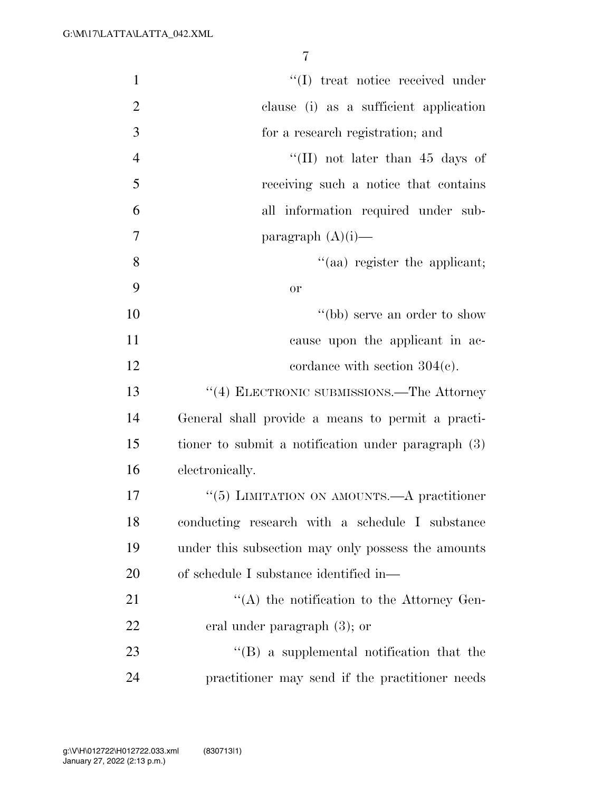| $\mathbf{1}$   | "(I) treat notice received under                    |
|----------------|-----------------------------------------------------|
| $\overline{2}$ | clause (i) as a sufficient application              |
| 3              | for a research registration; and                    |
| $\overline{4}$ | "(II) not later than 45 days of                     |
| 5              | receiving such a notice that contains               |
| 6              | all information required under sub-                 |
| 7              | paragraph $(A)(i)$ —                                |
| 8              | "(aa) register the applicant;                       |
| 9              | or                                                  |
| 10             | "(bb) serve an order to show                        |
| 11             | cause upon the applicant in ac-                     |
| 12             | cordance with section $304(c)$ .                    |
| 13             | "(4) ELECTRONIC SUBMISSIONS.—The Attorney           |
| 14             | General shall provide a means to permit a practi-   |
| 15             | tioner to submit a notification under paragraph (3) |
| 16             | electronically.                                     |
| 17             | "(5) LIMITATION ON AMOUNTS.—A practitioner          |
| 18             | conducting research with a schedule I substance     |
| 19             | under this subsection may only possess the amounts  |
| 20             | of schedule I substance identified in—              |
| 21             | "(A) the notification to the Attorney Gen-          |
| 22             | eral under paragraph $(3)$ ; or                     |
| 23             | $\lq\lq (B)$ a supplemental notification that the   |
| 24             | practitioner may send if the practitioner needs     |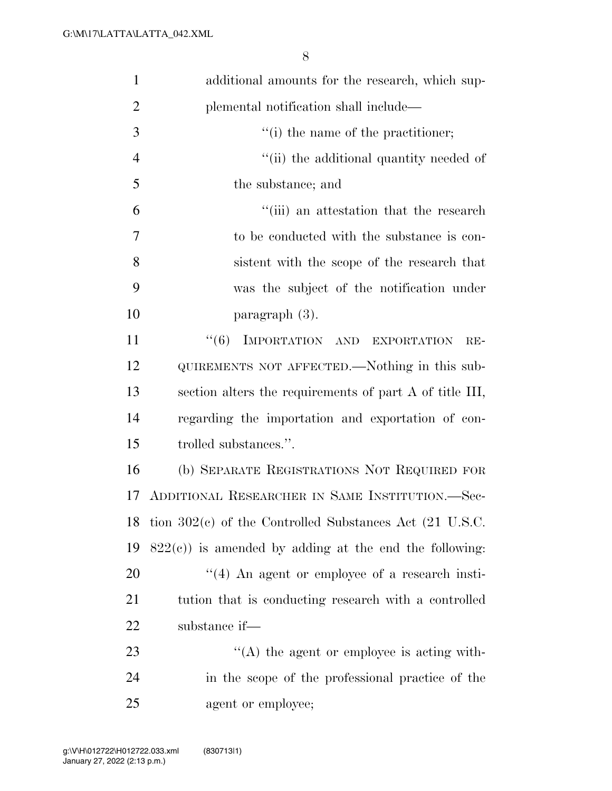| $\mathbf{1}$   | additional amounts for the research, which sup-              |
|----------------|--------------------------------------------------------------|
| $\overline{2}$ | plemental notification shall include—                        |
| 3              | "(i) the name of the practitioner;                           |
| $\overline{4}$ | "(ii) the additional quantity needed of                      |
| 5              | the substance; and                                           |
| 6              | "(iii) an attestation that the research                      |
| 7              | to be conducted with the substance is con-                   |
| 8              | sistent with the scope of the research that                  |
| 9              | was the subject of the notification under                    |
| 10             | paragraph (3).                                               |
| 11             | "(6) IMPORTATION AND EXPORTATION<br>$RE-$                    |
| 12             | QUIREMENTS NOT AFFECTED.—Nothing in this sub-                |
| 13             | section alters the requirements of part A of title III,      |
| 14             | regarding the importation and exportation of con-            |
| 15             | trolled substances.".                                        |
| 16             | (b) SEPARATE REGISTRATIONS NOT REQUIRED FOR                  |
| 17             | ADDITIONAL RESEARCHER IN SAME INSTITUTION.-Sec-              |
|                | 18 tion $302(e)$ of the Controlled Substances Act (21 U.S.C. |
| 19             | $822(e)$ ) is amended by adding at the end the following:    |
| 20             | $\lq(4)$ An agent or employee of a research insti-           |
| 21             | tution that is conducting research with a controlled         |
| 22             | substance if—                                                |
| 23             | $\lq\lq$ the agent or employee is acting with-               |
| 24             | in the scope of the professional practice of the             |
| 25             | agent or employee;                                           |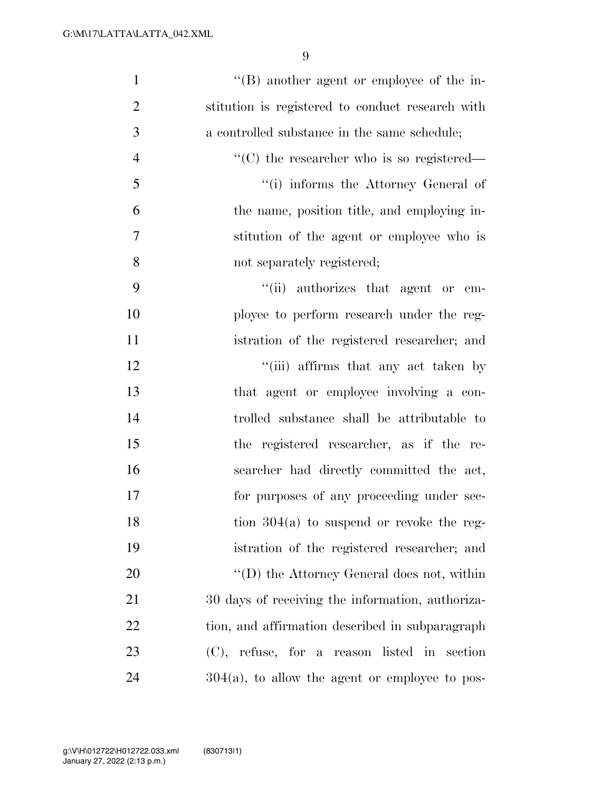| $\mathbf{1}$   | $\lq\lq (B)$ another agent or employee of the in-     |
|----------------|-------------------------------------------------------|
| $\overline{2}$ | stitution is registered to conduct research with      |
| 3              | a controlled substance in the same schedule;          |
| $\overline{4}$ | $\cdot\cdot$ (C) the researcher who is so registered— |
| 5              | "(i) informs the Attorney General of                  |
| 6              | the name, position title, and employing in-           |
| 7              | stitution of the agent or employee who is             |
| 8              | not separately registered;                            |
| 9              | "(ii) authorizes that agent or em-                    |
| 10             | ployee to perform research under the reg-             |
| 11             | istration of the registered researcher; and           |
| 12             | "(iii) affirms that any act taken by                  |
| 13             | that agent or employee involving a con-               |
| 14             | trolled substance shall be attributable to            |
| 15             | the registered researcher, as if the re-              |
| 16             | searcher had directly committed the act,              |
| 17             | for purposes of any proceeding under sec-             |
| 18             | tion $304(a)$ to suspend or revoke the reg-           |
| 19             | istration of the registered researcher; and           |
| 20             | "(D) the Attorney General does not, within            |
| 21             | 30 days of receiving the information, authoriza-      |
| 22             | tion, and affirmation described in subparagraph       |
| 23             | (C), refuse, for a reason listed in<br>section        |
| 24             | $304(a)$ , to allow the agent or employee to pos-     |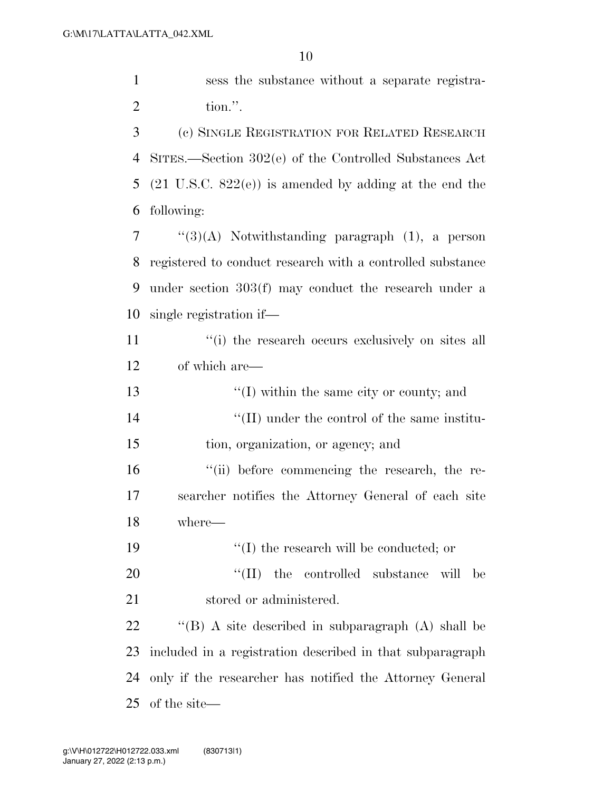sess the substance without a separate registra-tion.''.

 (c) SINGLE REGISTRATION FOR RELATED RESEARCH SITES.—Section 302(e) of the Controlled Substances Act (21 U.S.C. 822(e)) is amended by adding at the end the following:

 "(3)(A) Notwithstanding paragraph (1), a person registered to conduct research with a controlled substance under section 303(f) may conduct the research under a single registration if—

11 ''(i) the research occurs exclusively on sites all of which are—

13 ''(I) within the same city or county; and  $\langle (II) \rangle$  under the control of the same institu- tion, organization, or agency; and  $\frac{1}{10}$  before commencing the research, the re-searcher notifies the Attorney General of each site

where—

''(I) the research will be conducted; or

20  $\text{``(II)}$  the controlled substance will be 21 stored or administered.

 ''(B) A site described in subparagraph (A) shall be included in a registration described in that subparagraph only if the researcher has notified the Attorney General of the site—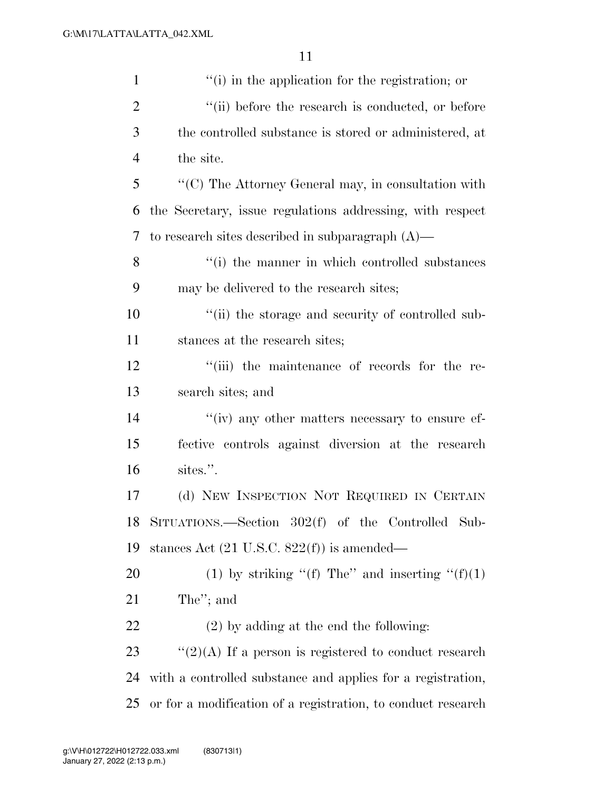| $\mathbf{1}$   | "(i) in the application for the registration; or                       |
|----------------|------------------------------------------------------------------------|
| $\overline{2}$ | "(ii) before the research is conducted, or before                      |
| 3              | the controlled substance is stored or administered, at                 |
| $\overline{4}$ | the site.                                                              |
| 5              | $\lq\lq$ <sup>(C)</sup> The Attorney General may, in consultation with |
| 6              | the Secretary, issue regulations addressing, with respect              |
| 7              | to research sites described in subparagraph $(A)$ —                    |
| 8              | "(i) the manner in which controlled substances                         |
| 9              | may be delivered to the research sites;                                |
| 10             | "(ii) the storage and security of controlled sub-                      |
| 11             | stances at the research sites;                                         |
| 12             | "(iii) the maintenance of records for the re-                          |
| 13             | search sites; and                                                      |
| 14             | "(iv) any other matters necessary to ensure ef-                        |
| 15             | fective controls against diversion at the research                     |
| 16             | sites.".                                                               |
| 17             | (d) NEW INSPECTION NOT REQUIRED IN CERTAIN                             |
| 18             | SITUATIONS.—Section 302(f) of the Controlled Sub-                      |
| 19             | stances Act $(21 \text{ U.S.C. } 822(f))$ is amended—                  |
| 20             | (1) by striking "(f) The" and inserting " $(f)(1)$                     |
| 21             | The"; and                                                              |
| 22             | $(2)$ by adding at the end the following:                              |
| 23             | " $(2)(A)$ If a person is registered to conduct research               |
| 24             | with a controlled substance and applies for a registration,            |
| 25             | or for a modification of a registration, to conduct research           |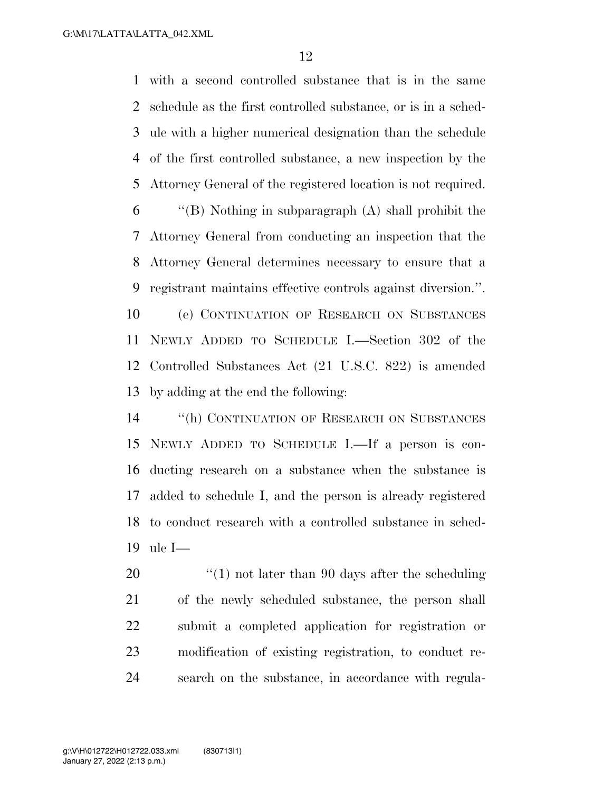with a second controlled substance that is in the same schedule as the first controlled substance, or is in a sched- ule with a higher numerical designation than the schedule of the first controlled substance, a new inspection by the Attorney General of the registered location is not required. ''(B) Nothing in subparagraph (A) shall prohibit the Attorney General from conducting an inspection that the Attorney General determines necessary to ensure that a registrant maintains effective controls against diversion.''. (e) CONTINUATION OF RESEARCH ON SUBSTANCES NEWLY ADDED TO SCHEDULE I.—Section 302 of the Controlled Substances Act (21 U.S.C. 822) is amended by adding at the end the following:

 ''(h) CONTINUATION OF RESEARCH ON SUBSTANCES NEWLY ADDED TO SCHEDULE I.—If a person is con- ducting research on a substance when the substance is added to schedule I, and the person is already registered to conduct research with a controlled substance in sched-ule I—

 $\frac{1}{20}$  (1) not later than 90 days after the scheduling of the newly scheduled substance, the person shall submit a completed application for registration or modification of existing registration, to conduct re-search on the substance, in accordance with regula-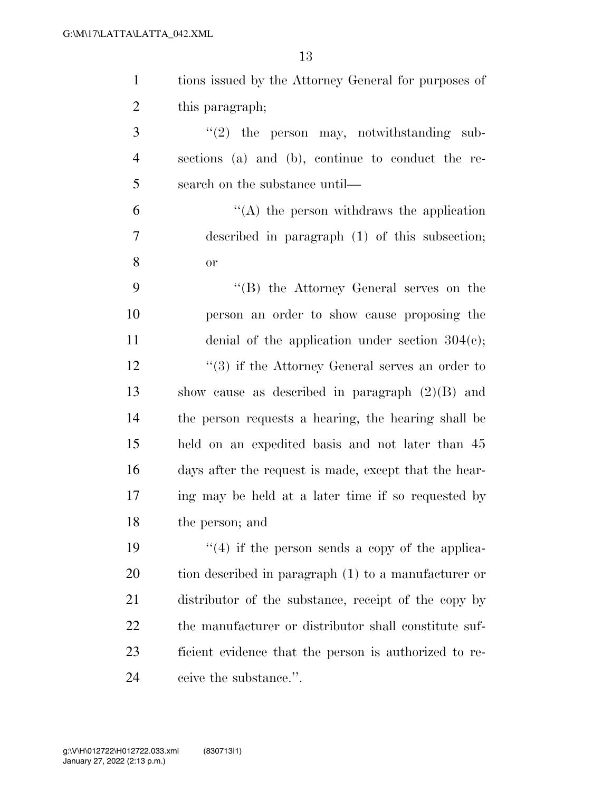| $\mathbf{1}$   | tions issued by the Attorney General for purposes of   |
|----------------|--------------------------------------------------------|
| $\overline{2}$ | this paragraph;                                        |
| 3              | $\lq(2)$ the person may, notwithstanding sub-          |
| $\overline{4}$ | sections (a) and (b), continue to conduct the re-      |
| 5              | search on the substance until—                         |
| 6              | $\lq\lq$ the person withdraws the application          |
| 7              | described in paragraph (1) of this subsection;         |
| 8              | or                                                     |
| 9              | "(B) the Attorney General serves on the                |
| 10             | person an order to show cause proposing the            |
| 11             | denial of the application under section $304(c)$ ;     |
| 12             | $(3)$ if the Attorney General serves an order to       |
| 13             | show cause as described in paragraph $(2)(B)$ and      |
| 14             | the person requests a hearing, the hearing shall be    |
| 15             | held on an expedited basis and not later than 45       |
| 16             | days after the request is made, except that the hear-  |
| 17             | ing may be held at a later time if so requested by     |
| 18             | the person; and                                        |
| 19             | $\cdot$ (4) if the person sends a copy of the applica- |
| 20             | tion described in paragraph (1) to a manufacturer or   |
| 21             | distributor of the substance, receipt of the copy by   |
| 22             | the manufacturer or distributor shall constitute suf-  |
| 23             | ficient evidence that the person is authorized to re-  |
| 24             | ceive the substance.".                                 |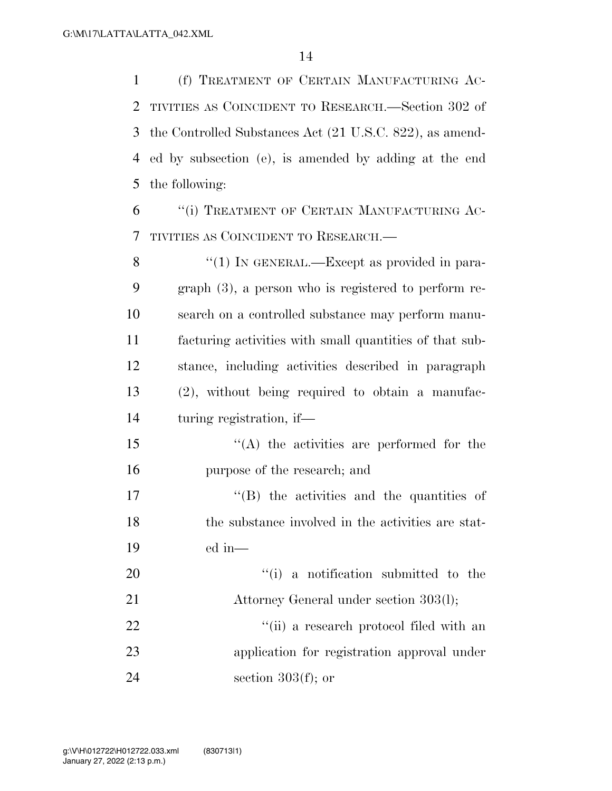(f) TREATMENT OF CERTAIN MANUFACTURING AC- TIVITIES AS COINCIDENT TO RESEARCH.—Section 302 of the Controlled Substances Act (21 U.S.C. 822), as amend- ed by subsection (e), is amended by adding at the end the following:

 ''(i) TREATMENT OF CERTAIN MANUFACTURING AC-TIVITIES AS COINCIDENT TO RESEARCH.—

8 "(1) IN GENERAL.—Except as provided in para- graph (3), a person who is registered to perform re- search on a controlled substance may perform manu- facturing activities with small quantities of that sub- stance, including activities described in paragraph (2), without being required to obtain a manufac-turing registration, if—

 ''(A) the activities are performed for the purpose of the research; and

17  $\langle G \rangle$  the activities and the quantities of the substance involved in the activities are stat-ed in—

 $\frac{1}{1}$  a notification submitted to the Attorney General under section 303(l); 22 ''(ii) a research protocol filed with an application for registration approval under section  $303(f)$ ; or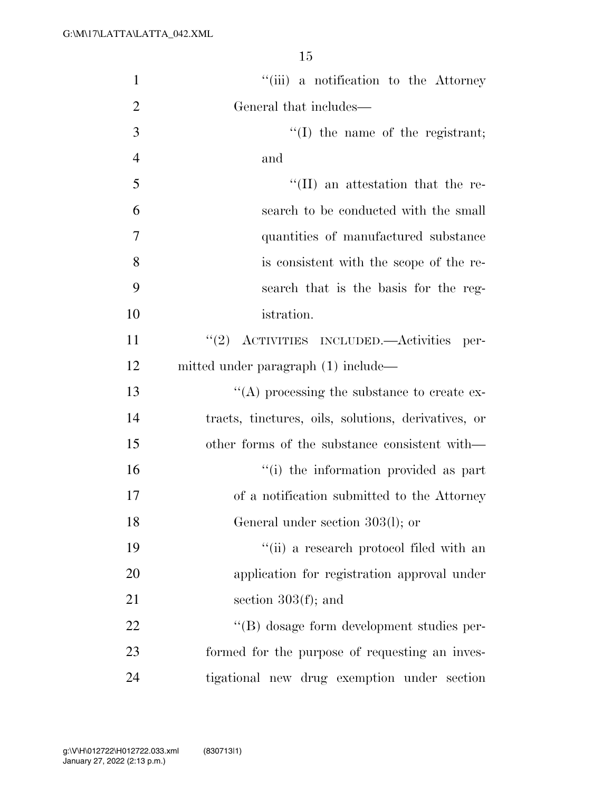| $\mathbf{1}$   | "(iii) a notification to the Attorney               |
|----------------|-----------------------------------------------------|
| $\overline{2}$ | General that includes—                              |
| 3              | $\lq\lq$ (I) the name of the registrant;            |
| $\overline{4}$ | and                                                 |
| 5              | $\lq\lq$ (II) an attestation that the re-           |
| 6              | search to be conducted with the small               |
| 7              | quantities of manufactured substance                |
| 8              | is consistent with the scope of the re-             |
| 9              | search that is the basis for the reg-               |
| 10             | istration.                                          |
| 11             | "(2) ACTIVITIES INCLUDED.—Activities per-           |
| 12             | mitted under paragraph (1) include—                 |
| 13             | $\lq\lq$ processing the substance to create ex-     |
| 14             | tracts, tinctures, oils, solutions, derivatives, or |
| 15             | other forms of the substance consistent with—       |
| 16             | "(i) the information provided as part               |
| 17             | of a notification submitted to the Attorney         |
| 18             | General under section 303(l); or                    |
| 19             | "(ii) a research protocol filed with an             |
| 20             | application for registration approval under         |
| 21             | section $303(f)$ ; and                              |
| 22             | "(B) dosage form development studies per-           |
| 23             | formed for the purpose of requesting an inves-      |
| 24             | tigational new drug exemption under section         |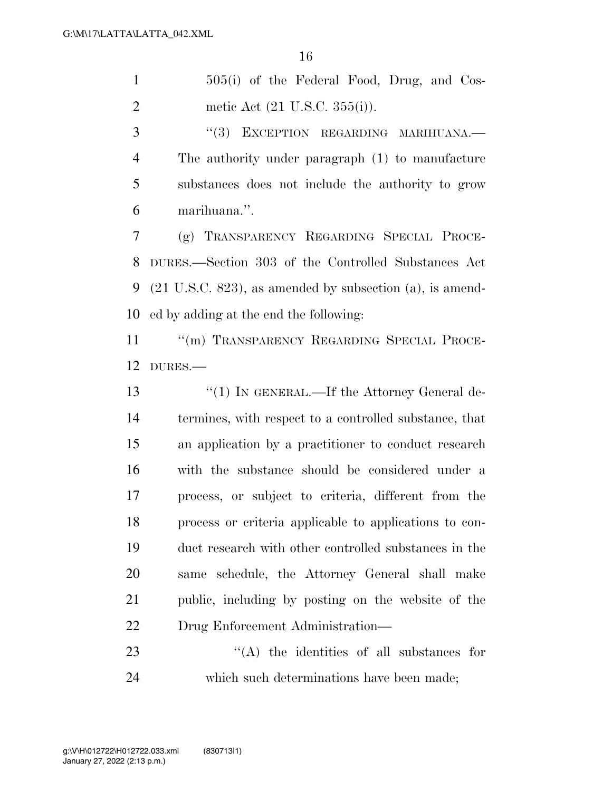505(i) of the Federal Food, Drug, and Cos-metic Act (21 U.S.C. 355(i)).

3 "(3) EXCEPTION REGARDING MARIHUANA. The authority under paragraph (1) to manufacture substances does not include the authority to grow marihuana.''.

 (g) TRANSPARENCY REGARDING SPECIAL PROCE- DURES.—Section 303 of the Controlled Substances Act (21 U.S.C. 823), as amended by subsection (a), is amend-ed by adding at the end the following:

11 "(m) TRANSPARENCY REGARDING SPECIAL PROCE-DURES.—

13 "(1) IN GENERAL.—If the Attorney General de- termines, with respect to a controlled substance, that an application by a practitioner to conduct research with the substance should be considered under a process, or subject to criteria, different from the process or criteria applicable to applications to con- duct research with other controlled substances in the same schedule, the Attorney General shall make public, including by posting on the website of the Drug Enforcement Administration—

 ''(A) the identities of all substances for which such determinations have been made;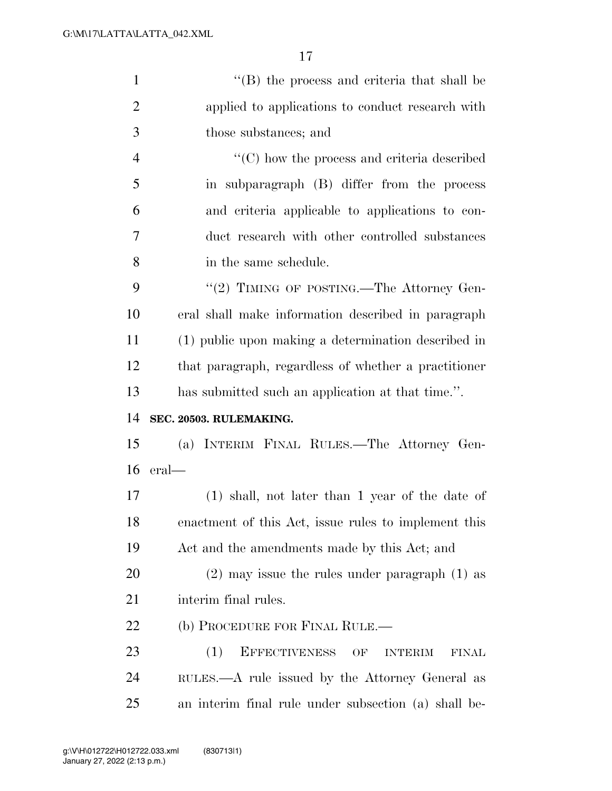| $\mathbf{1}$   | $\lq\lq$ (B) the process and criteria that shall be                 |
|----------------|---------------------------------------------------------------------|
| $\overline{2}$ | applied to applications to conduct research with                    |
| 3              | those substances; and                                               |
| $\overline{4}$ | $\lq\lq$ (C) how the process and criteria described                 |
| 5              | in subparagraph (B) differ from the process                         |
| 6              | and criteria applicable to applications to con-                     |
| 7              | duct research with other controlled substances                      |
| 8              | in the same schedule.                                               |
| 9              | "(2) TIMING OF POSTING.—The Attorney Gen-                           |
| 10             | eral shall make information described in paragraph                  |
| 11             | (1) public upon making a determination described in                 |
| 12             | that paragraph, regardless of whether a practitioner                |
| 13             | has submitted such an application at that time.".                   |
| 14             | SEC. 20503. RULEMAKING.                                             |
| 15             | (a) INTERIM FINAL RULES.—The Attorney Gen-                          |
| 16             | $eral$ —                                                            |
| 17             | $(1)$ shall, not later than 1 year of the date of                   |
| 18             | enactment of this Act, issue rules to implement this                |
| 19             | Act and the amendments made by this Act; and                        |
| 20             | $(2)$ may issue the rules under paragraph $(1)$ as                  |
| 21             | interim final rules.                                                |
| 22             | (b) PROCEDURE FOR FINAL RULE.—                                      |
| 23             | <b>EFFECTIVENESS</b><br>(1)<br>OF<br><b>INTERIM</b><br><b>FINAL</b> |
| 24             | RULES.—A rule issued by the Attorney General as                     |
| 25             | an interim final rule under subsection (a) shall be-                |